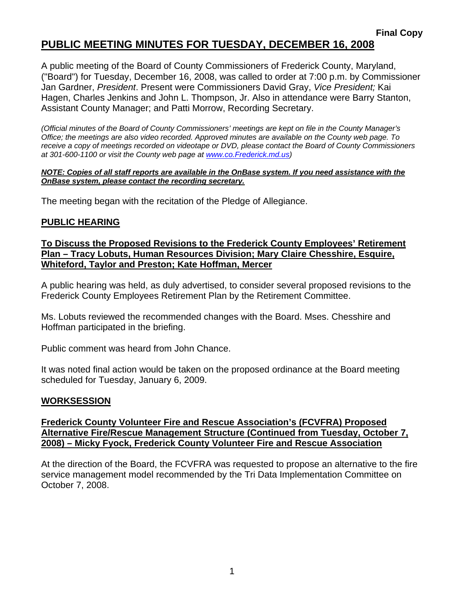# **PUBLIC MEETING MINUTES FOR TUESDAY, DECEMBER 16, 2008**

A public meeting of the Board of County Commissioners of Frederick County, Maryland, ("Board") for Tuesday, December 16, 2008, was called to order at 7:00 p.m. by Commissioner Jan Gardner, *President*. Present were Commissioners David Gray, *Vice President;* Kai Hagen, Charles Jenkins and John L. Thompson, Jr. Also in attendance were Barry Stanton, Assistant County Manager; and Patti Morrow, Recording Secretary.

*(Official minutes of the Board of County Commissioners' meetings are kept on file in the County Manager's Office; the meetings are also video recorded. Approved minutes are available on the County web page. To receive a copy of meetings recorded on videotape or DVD, please contact the Board of County Commissioners at 301-600-1100 or visit the County web page at [www.co](http://www.co/).Frederick.md.us)* 

#### *NOTE: Copies of all staff reports are available in the OnBase system. If you need assistance with the OnBase system, please contact the recording secretary.*

The meeting began with the recitation of the Pledge of Allegiance.

### **PUBLIC HEARING**

**To Discuss the Proposed Revisions to the Frederick County Employees' Retirement Plan – Tracy Lobuts, Human Resources Division; Mary Claire Chesshire, Esquire, Whiteford, Taylor and Preston; Kate Hoffman, Mercer**

A public hearing was held, as duly advertised, to consider several proposed revisions to the Frederick County Employees Retirement Plan by the Retirement Committee.

Ms. Lobuts reviewed the recommended changes with the Board. Mses. Chesshire and Hoffman participated in the briefing.

Public comment was heard from John Chance.

It was noted final action would be taken on the proposed ordinance at the Board meeting scheduled for Tuesday, January 6, 2009.

#### **WORKSESSION**

### **Frederick County Volunteer Fire and Rescue Association's (FCVFRA) Proposed Alternative Fire/Rescue Management Structure (Continued from Tuesday, October 7, 2008) – Micky Fyock, Frederick County Volunteer Fire and Rescue Association**

At the direction of the Board, the FCVFRA was requested to propose an alternative to the fire service management model recommended by the Tri Data Implementation Committee on October 7, 2008.